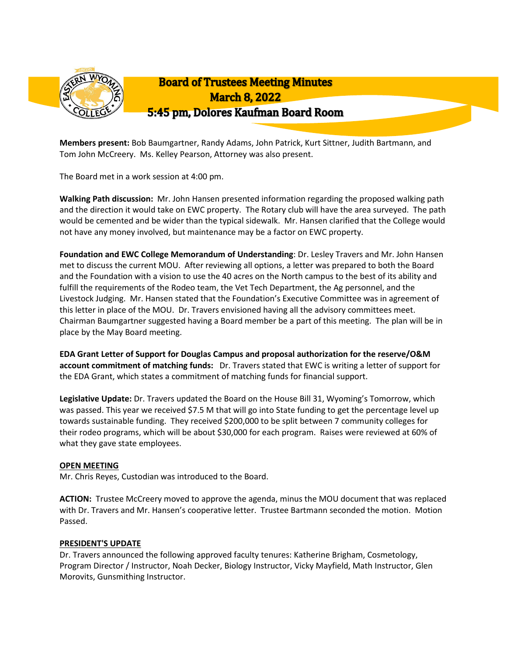

**Members present:** Bob Baumgartner, Randy Adams, John Patrick, Kurt Sittner, Judith Bartmann, and Tom John McCreery. Ms. Kelley Pearson, Attorney was also present.

The Board met in a work session at 4:00 pm.

**Walking Path discussion:** Mr. John Hansen presented information regarding the proposed walking path and the direction it would take on EWC property. The Rotary club will have the area surveyed. The path would be cemented and be wider than the typical sidewalk. Mr. Hansen clarified that the College would not have any money involved, but maintenance may be a factor on EWC property.

**Foundation and EWC College Memorandum of Understanding**: Dr. Lesley Travers and Mr. John Hansen met to discuss the current MOU. After reviewing all options, a letter was prepared to both the Board and the Foundation with a vision to use the 40 acres on the North campus to the best of its ability and fulfill the requirements of the Rodeo team, the Vet Tech Department, the Ag personnel, and the Livestock Judging. Mr. Hansen stated that the Foundation's Executive Committee was in agreement of this letter in place of the MOU. Dr. Travers envisioned having all the advisory committees meet. Chairman Baumgartner suggested having a Board member be a part of this meeting. The plan will be in place by the May Board meeting.

**EDA Grant Letter of Support for Douglas Campus and proposal authorization for the reserve/O&M account commitment of matching funds:** Dr. Travers stated that EWC is writing a letter of support for the EDA Grant, which states a commitment of matching funds for financial support.

**Legislative Update:** Dr. Travers updated the Board on the House Bill 31, Wyoming's Tomorrow, which was passed. This year we received \$7.5 M that will go into State funding to get the percentage level up towards sustainable funding. They received \$200,000 to be split between 7 community colleges for their rodeo programs, which will be about \$30,000 for each program. Raises were reviewed at 60% of what they gave state employees.

# **OPEN MEETING**

Mr. Chris Reyes, Custodian was introduced to the Board.

**ACTION:** Trustee McCreery moved to approve the agenda, minus the MOU document that was replaced with Dr. Travers and Mr. Hansen's cooperative letter. Trustee Bartmann seconded the motion. Motion Passed.

#### **PRESIDENT'S UPDATE**

Dr. Travers announced the following approved faculty tenures: Katherine Brigham, Cosmetology, Program Director / Instructor, Noah Decker, Biology Instructor, Vicky Mayfield, Math Instructor, Glen Morovits, Gunsmithing Instructor.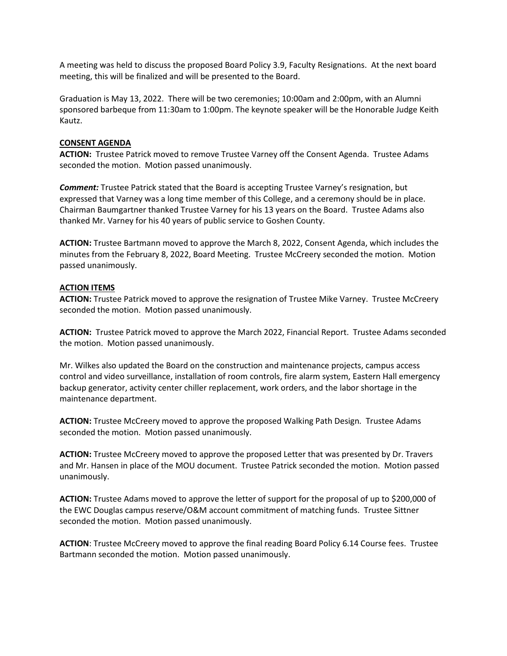A meeting was held to discuss the proposed Board Policy 3.9, Faculty Resignations. At the next board meeting, this will be finalized and will be presented to the Board.

Graduation is May 13, 2022. There will be two ceremonies; 10:00am and 2:00pm, with an Alumni sponsored barbeque from 11:30am to 1:00pm. The keynote speaker will be the Honorable Judge Keith Kautz.

### **CONSENT AGENDA**

**ACTION:** Trustee Patrick moved to remove Trustee Varney off the Consent Agenda. Trustee Adams seconded the motion. Motion passed unanimously.

*Comment:* Trustee Patrick stated that the Board is accepting Trustee Varney's resignation, but expressed that Varney was a long time member of this College, and a ceremony should be in place. Chairman Baumgartner thanked Trustee Varney for his 13 years on the Board. Trustee Adams also thanked Mr. Varney for his 40 years of public service to Goshen County.

**ACTION:** Trustee Bartmann moved to approve the March 8, 2022, Consent Agenda, which includes the minutes from the February 8, 2022, Board Meeting. Trustee McCreery seconded the motion. Motion passed unanimously.

### **ACTION ITEMS**

**ACTION:** Trustee Patrick moved to approve the resignation of Trustee Mike Varney. Trustee McCreery seconded the motion. Motion passed unanimously.

**ACTION:** Trustee Patrick moved to approve the March 2022, Financial Report. Trustee Adams seconded the motion. Motion passed unanimously.

Mr. Wilkes also updated the Board on the construction and maintenance projects, campus access control and video surveillance, installation of room controls, fire alarm system, Eastern Hall emergency backup generator, activity center chiller replacement, work orders, and the labor shortage in the maintenance department.

**ACTION:** Trustee McCreery moved to approve the proposed Walking Path Design. Trustee Adams seconded the motion. Motion passed unanimously.

**ACTION:** Trustee McCreery moved to approve the proposed Letter that was presented by Dr. Travers and Mr. Hansen in place of the MOU document. Trustee Patrick seconded the motion. Motion passed unanimously.

**ACTION:** Trustee Adams moved to approve the letter of support for the proposal of up to \$200,000 of the EWC Douglas campus reserve/O&M account commitment of matching funds. Trustee Sittner seconded the motion. Motion passed unanimously.

**ACTION**: Trustee McCreery moved to approve the final reading Board Policy 6.14 Course fees. Trustee Bartmann seconded the motion. Motion passed unanimously.